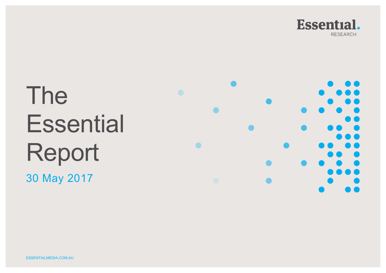

# The **Essential** Report 30 May 2017

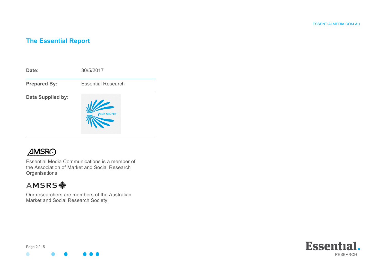## **The Essential Report**





Essential Media Communications is a member of the Association of Market and Social Research **Organisations** 

## **AMSRS幸**

Our researchers are members of the Australian Market and Social Research Society.



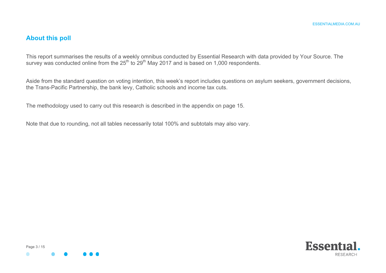### **About this poll**

This report summarises the results of a weekly omnibus conducted by Essential Research with data provided by Your Source. The survey was conducted online from the  $25<sup>th</sup>$  to  $29<sup>th</sup>$  May 2017 and is based on 1,000 respondents.

Aside from the standard question on voting intention, this week's report includes questions on asylum seekers, government decisions, the Trans-Pacific Partnership, the bank levy, Catholic schools and income tax cuts.

The methodology used to carry out this research is described in the appendix on page 15.

Note that due to rounding, not all tables necessarily total 100% and subtotals may also vary.



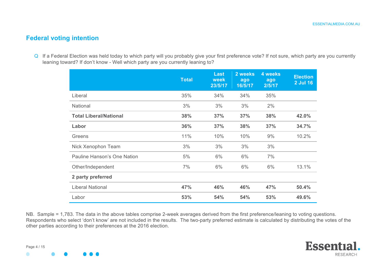## **Federal voting intention**

Q If a Federal Election was held today to which party will you probably give your first preference vote? If not sure, which party are you currently leaning toward? If don't know - Well which party are you currently leaning to?

|                               | <b>Total</b> | <b>Last</b><br>week<br>23/5/17 | 2 weeks<br>ago<br>16/5/17 | 4 weeks<br>ago<br>2/5/17 | <b>Election</b><br>2 Jul 16 |
|-------------------------------|--------------|--------------------------------|---------------------------|--------------------------|-----------------------------|
| Liberal                       | 35%          | 34%                            | 34%                       | 35%                      |                             |
| National                      | 3%           | 3%                             | 3%                        | 2%                       |                             |
| <b>Total Liberal/National</b> | 38%          | 37%                            | 37%                       | 38%                      | 42.0%                       |
| Labor                         | 36%          | 37%                            | 38%                       | 37%                      | 34.7%                       |
| Greens                        | 11%          | 10%                            | 10%                       | 9%                       | 10.2%                       |
| Nick Xenophon Team            | 3%           | 3%                             | 3%                        | 3%                       |                             |
| Pauline Hanson's One Nation   | 5%           | 6%                             | 6%                        | 7%                       |                             |
| Other/Independent             | 7%           | 6%                             | 6%                        | 6%                       | 13.1%                       |
| 2 party preferred             |              |                                |                           |                          |                             |
| <b>Liberal National</b>       | 47%          | 46%                            | 46%                       | 47%                      | 50.4%                       |
| Labor                         | 53%          | 54%                            | 54%                       | 53%                      | 49.6%                       |

NB. Sample = 1,783. The data in the above tables comprise 2-week averages derived from the first preference/leaning to voting questions. Respondents who select 'don't know' are not included in the results. The two-party preferred estimate is calculated by distributing the votes of the other parties according to their preferences at the 2016 election.

Page 4 / 15

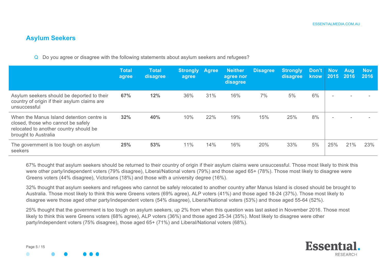## **Asylum Seekers**

Q Do you agree or disagree with the following statements about asylum seekers and refugees?

|                                                                                                                                                   | <b>Total</b><br>agree | <b>Total</b><br>disagree | <b>Strongly Agree</b><br>agree |     | <b>Neither</b><br>agree nor<br>disagree | <b>Disagree</b> | Strongly<br>disagree | Don't<br>know | <b>Nov</b><br>2015       | <b>Aug</b><br>2016 | <b>Nov</b><br>2016 |
|---------------------------------------------------------------------------------------------------------------------------------------------------|-----------------------|--------------------------|--------------------------------|-----|-----------------------------------------|-----------------|----------------------|---------------|--------------------------|--------------------|--------------------|
| Asylum seekers should be deported to their<br>country of origin if their asylum claims are<br>unsuccessful                                        | 67%                   | 12%                      | 36%                            | 31% | 16%                                     | 7%              | 5%                   | 6%            | $\overline{\phantom{a}}$ |                    |                    |
| When the Manus Island detention centre is<br>closed, those who cannot be safely<br>relocated to another country should be<br>brought to Australia | 32%                   | 40%                      | 10%                            | 22% | 19%                                     | 15%             | 25%                  | 8%            |                          |                    |                    |
| The government is too tough on asylum<br>seekers                                                                                                  | 25%                   | 53%                      | 11%                            | 14% | 16%                                     | 20%             | 33%                  | 5%            | 25%                      | 21%                | 23%                |

67% thought that asylum seekers should be returned to their country of origin if their asylum claims were unsuccessful. Those most likely to think this were other party/independent voters (79% disagree), Liberal/National voters (79%) and those aged 65+ (78%). Those most likely to disagree were Greens voters (44% disagree), Victorians (18%) and those with a university degree (16%).

32% thought that asylum seekers and refugees who cannot be safely relocated to another country after Manus Island is closed should be brought to Australia. Those most likely to think this were Greens voters (69% agree), ALP voters (41%) and those aged 18-24 (37%). Those most likely to disagree were those aged other party/independent voters (54% disagree), Liberal/National voters (53%) and those aged 55-64 (52%).

25% thought that the government is too tough on asylum seekers, up 2% from when this question was last asked in November 2016. Those most likely to think this were Greens voters (68% agree), ALP voters (36%) and those aged 25-34 (35%). Most likely to disagree were other party/independent voters (75% disagree), those aged 65+ (71%) and Liberal/National voters (68%).

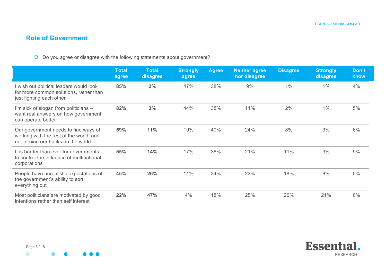## **Role of Government**

#### Q Do you agree or disagree with the following statements about government?

|                                                                                                                       | <b>Total</b><br>agree | <b>Total</b><br>disagree | <b>Strongly</b><br>agree | <b>Agree</b> | <b>Neither agree</b><br>nor disagree | <b>Disagree</b> | <b>Strongly</b><br>disagree | Don't<br>know |
|-----------------------------------------------------------------------------------------------------------------------|-----------------------|--------------------------|--------------------------|--------------|--------------------------------------|-----------------|-----------------------------|---------------|
| I wish out political leaders would look<br>for more common solutions, rather than<br>just fighting each other         | 85%                   | 2%                       | 47%                      | 38%          | 9%                                   | 1%              | 1%                          | 4%            |
| I'm sick of slogan from politicians - I<br>want real answers on how government<br>can operate better                  | 82%                   | 3%                       | 44%                      | 38%          | 11%                                  | 2%              | $1\%$                       | 5%            |
| Our government needs to find ways of<br>working with the rest of the world, and<br>not turning our backs on the world | 59%                   | 11%                      | 19%                      | 40%          | 24%                                  | 8%              | 3%                          | 6%            |
| It is harder than ever for governments<br>to control the influence of multinational<br>corporations                   | 55%                   | 14%                      | 17%                      | 38%          | 21%                                  | 11%             | 3%                          | 9%            |
| People have unrealistic expectations of<br>the government's ability to sort<br>everything out                         | 45%                   | 26%                      | 11%                      | 34%          | 23%                                  | 18%             | 8%                          | 5%            |
| Most politicians are motivated by good<br>intentions rather than self interest                                        | 22%                   | 47%                      | 4%                       | 18%          | 25%                                  | 26%             | 21%                         | 6%            |

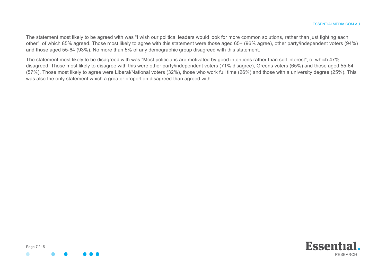The statement most likely to be agreed with was "I wish our political leaders would look for more common solutions, rather than just fighting each other", of which 85% agreed. Those most likely to agree with this statement were those aged 65+ (96% agree), other party/independent voters (94%) and those aged 55-64 (93%). No more than 5% of any demographic group disagreed with this statement.

The statement most likely to be disagreed with was "Most politicians are motivated by good intentions rather than self interest", of which 47% disagreed. Those most likely to disagree with this were other party/independent voters (71% disagree), Greens voters (65%) and those aged 55-64 (57%). Those most likely to agree were Liberal/National voters (32%), those who work full time (26%) and those with a university degree (25%). This was also the only statement which a greater proportion disagreed than agreed with.



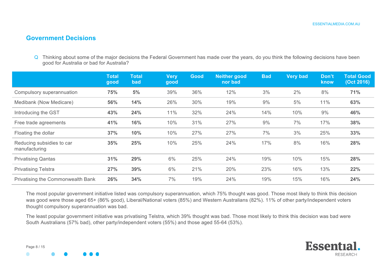## **Government Decisions**

Q Thinking about some of the major decisions the Federal Government has made over the years, do you think the following decisions have been good for Australia or bad for Australia?

|                                            | <b>Total</b><br>good | <b>Total</b><br>bad | <b>Very</b><br>good | Good | Neither good<br>nor bad | <b>Bad</b> | <b>Very bad</b> | Don't<br>know | <b>Total Good</b><br>(Oct 2016) |
|--------------------------------------------|----------------------|---------------------|---------------------|------|-------------------------|------------|-----------------|---------------|---------------------------------|
| Compulsory superannuation                  | 75%                  | 5%                  | 39%                 | 36%  | 12%                     | 3%         | 2%              | 8%            | 71%                             |
| Medibank (Now Medicare)                    | 56%                  | 14%                 | 26%                 | 30%  | 19%                     | 9%         | 5%              | 11%           | 63%                             |
| Introducing the GST                        | 43%                  | 24%                 | 11%                 | 32%  | 24%                     | 14%        | 10%             | 9%            | 46%                             |
| Free trade agreements                      | 41%                  | 16%                 | 10%                 | 31%  | 27%                     | 9%         | 7%              | 17%           | 38%                             |
| Floating the dollar                        | 37%                  | 10%                 | 10%                 | 27%  | 27%                     | 7%         | 3%              | 25%           | 33%                             |
| Reducing subsidies to car<br>manufacturing | 35%                  | 25%                 | 10%                 | 25%  | 24%                     | 17%        | 8%              | 16%           | 28%                             |
| <b>Privatising Qantas</b>                  | 31%                  | 29%                 | 6%                  | 25%  | 24%                     | 19%        | 10%             | 15%           | 28%                             |
| <b>Privatising Telstra</b>                 | 27%                  | 39%                 | 6%                  | 21%  | 20%                     | 23%        | 16%             | 13%           | 22%                             |
| Privatising the Commonwealth Bank          | 26%                  | 34%                 | 7%                  | 19%  | 24%                     | 19%        | 15%             | 16%           | 24%                             |

The most popular government initiative listed was compulsory superannuation, which 75% thought was good. Those most likely to think this decision was good were those aged 65+ (86% good), Liberal/National voters (85%) and Western Australians (82%). 11% of other party/independent voters thought compulsory superannuation was bad.

The least popular government initiative was privatising Telstra, which 39% thought was bad. Those most likely to think this decision was bad were South Australians (57% bad), other party/independent voters (55%) and those aged 55-64 (53%).



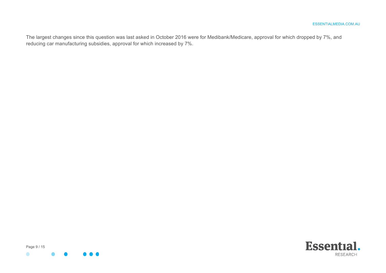The largest changes since this question was last asked in October 2016 were for Medibank/Medicare, approval for which dropped by 7%, and reducing car manufacturing subsidies, approval for which increased by 7%.

Page 9 / 15  $\bullet$ 

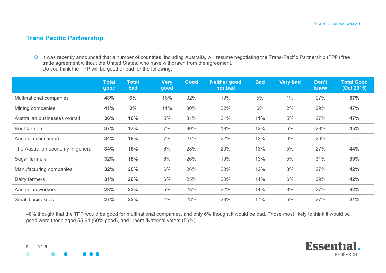## **Trans Pacific Partnership**

Q It was recently announced that a number of countries, including Australia, will resume negotiating the Trans-Pacific Partnership (TPP) free trade agreement without the United States, who have withdrawn from the agreement. Do you think the TPP will be good or bad for the following:

|                                   | <b>Total</b><br>good | <b>Total</b><br>bad | <b>Very</b><br>good | Good | <b>Neither good</b><br>nor bad | <b>Bad</b> | <b>Very bad</b> | Don't<br>know | <b>Total Good</b><br>(Oct 2015) |
|-----------------------------------|----------------------|---------------------|---------------------|------|--------------------------------|------------|-----------------|---------------|---------------------------------|
| Multinational companies           | 48%                  | 6%                  | 16%                 | 32%  | 19%                            | 5%         | 1%              | 27%           | 57%                             |
| Mining companies                  | 41%                  | 8%                  | 11%                 | 30%  | 22%                            | 6%         | 2%              | 29%           | 47%                             |
| Australian businesses overall     | 36%                  | 16%                 | 5%                  | 31%  | 21%                            | 11%        | 5%              | 27%           | 47%                             |
| <b>Beef farmers</b>               | 37%                  | 17%                 | 7%                  | 30%  | 18%                            | 12%        | 5%              | 29%           | 45%                             |
| Australia consumers               | 34%                  | 18%                 | 7%                  | 27%  | 22%                            | 12%        | 6%              | 26%           |                                 |
| The Australian economy in general | 34%                  | 18%                 | 6%                  | 28%  | 20%                            | 13%        | 5%              | 27%           | 44%                             |
| Sugar farmers                     | 32%                  | 18%                 | 6%                  | 26%  | 19%                            | 13%        | 5%              | 31%           | 39%                             |
| Manufacturing companies           | 32%                  | 20%                 | 6%                  | 26%  | 20%                            | 12%        | 8%              | 27%           | 42%                             |
| Dairy farmers                     | 31%                  | 20%                 | 6%                  | 25%  | 20%                            | 14%        | 6%              | 29%           | 42%                             |
| Australian workers                | 28%                  | 23%                 | 5%                  | 23%  | 22%                            | 14%        | 9%              | 27%           | 32%                             |
| <b>Small businesses</b>           | 27%                  | 22%                 | 4%                  | 23%  | 23%                            | 17%        | 5%              | 27%           | 21%                             |

48% thought that the TPP would be good for multinational companies, and only 6% thought it would be bad. Those most likely to think it would be good were those aged 55-64 (60% good), and Liberal/National voters (56%).





Page 10 / 15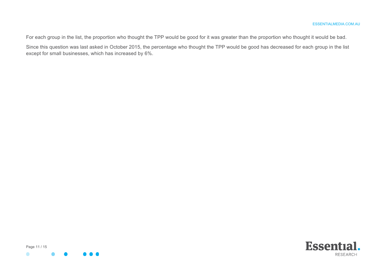For each group in the list, the proportion who thought the TPP would be good for it was greater than the proportion who thought it would be bad.

Since this question was last asked in October 2015, the percentage who thought the TPP would be good has decreased for each group in the list except for small businesses, which has increased by 6%.



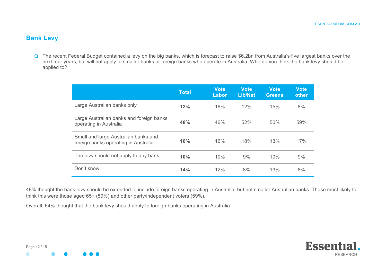## **Bank Levy**

Q The recent Federal Budget contained a levy on the big banks, which is forecast to raise \$6.2bn from Australia's five largest banks over the next four years, but will not apply to smaller banks or foreign banks who operate in Australia. Who do you think the bank levy should be applied to?

|                                                                              | <b>Total</b> | <b>Vote</b><br>Labor | Vote<br><b>Lib/Nat</b> | <b>Vote</b><br><b>Greens</b> | <b>Vote</b><br>other |
|------------------------------------------------------------------------------|--------------|----------------------|------------------------|------------------------------|----------------------|
| Large Australian banks only                                                  | 12%          | 16%                  | 12%                    | 15%                          | 8%                   |
| Large Australian banks and foreign banks<br>operating in Australia           | 48%          | 46%                  | 52%                    | 50%                          | 59%                  |
| Small and large Australian banks and<br>foreign banks operating in Australia | 16%          | 16%                  | 18%                    | 13%                          | 17%                  |
| The levy should not apply to any bank                                        | 10%          | 10%                  | 9%                     | 10%                          | 9%                   |
| Don't know                                                                   | 14%          | 12%                  | 8%                     | 13%                          | 8%                   |

48% thought the bank levy should be extended to include foreign banks operating in Australia, but not smaller Australian banks. Those most likely to think this were those aged 65+ (59%) and other party/independent voters (59%).

Overall, 64% thought that the bank levy should apply to foreign banks operating in Australia.



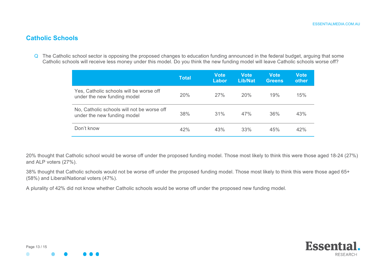## **Catholic Schools**

Q The Catholic school sector is opposing the proposed changes to education funding announced in the federal budget, arguing that some Catholic schools will receive less money under this model. Do you think the new funding model will leave Catholic schools worse off?

|                                                                           | <b>Total</b> | <b>Vote</b><br>Labor | <b>Vote</b><br>Lib/Nat | <b>Vote</b><br><b>Greens</b> | <b>Vote</b><br>other |
|---------------------------------------------------------------------------|--------------|----------------------|------------------------|------------------------------|----------------------|
| Yes, Catholic schools will be worse off<br>under the new funding model    | 20%          | 27%                  | 20%                    | 19%                          | 15%                  |
| No, Catholic schools will not be worse off<br>under the new funding model | 38%          | 31%                  | 47%                    | 36%                          | 43%                  |
| Don't know                                                                | 42%          | 43%                  | 33%                    | 45%                          | 42%                  |

20% thought that Catholic school would be worse off under the proposed funding model. Those most likely to think this were those aged 18-24 (27%) and ALP voters (27%).

38% thought that Catholic schools would not be worse off under the proposed funding model. Those most likely to think this were those aged 65+ (58%) and Liberal/National voters (47%).

A plurality of 42% did not know whether Catholic schools would be worse off under the proposed new funding model.

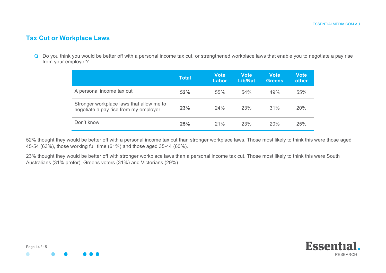## **Tax Cut or Workplace Laws**

Q Do you think you would be better off with a personal income tax cut, or strengthened workplace laws that enable you to negotiate a pay rise from your employer?

|                                                                                   | Total | <b>Vote</b><br>Labor | <b>Vote</b><br>Lib/Nat | <b>Vote</b><br><b>Greens</b> | <b>Vote</b><br>other |
|-----------------------------------------------------------------------------------|-------|----------------------|------------------------|------------------------------|----------------------|
| A personal income tax cut                                                         | 52%   | 55%                  | 54%                    | 49%                          | 55%                  |
| Stronger workplace laws that allow me to<br>negotiate a pay rise from my employer | 23%   | 24%                  | 23%                    | 31%                          | <b>20%</b>           |
| Don't know                                                                        | 25%   | 21%                  | 23%                    | 20%                          | 25%                  |

52% thought they would be better off with a personal income tax cut than stronger workplace laws. Those most likely to think this were those aged 45-54 (63%), those working full time (61%) and those aged 35-44 (60%).

23% thought they would be better off with stronger workplace laws than a personal income tax cut. Those most likely to think this were South Australians (31% prefer), Greens voters (31%) and Victorians (29%).